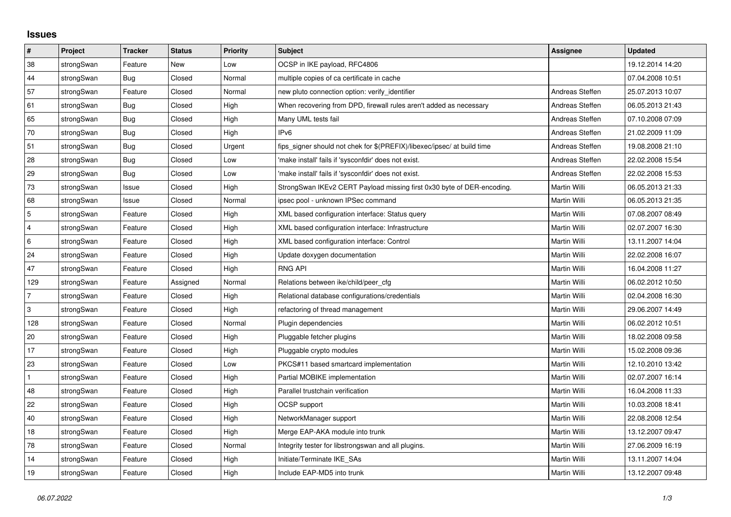## **Issues**

| $\vert$ #      | Project    | <b>Tracker</b> | <b>Status</b> | <b>Priority</b> | <b>Subject</b>                                                          | <b>Assignee</b> | <b>Updated</b>   |
|----------------|------------|----------------|---------------|-----------------|-------------------------------------------------------------------------|-----------------|------------------|
| 38             | strongSwan | Feature        | <b>New</b>    | Low             | OCSP in IKE payload, RFC4806                                            |                 | 19.12.2014 14:20 |
| 44             | strongSwan | Bug            | Closed        | Normal          | multiple copies of ca certificate in cache                              |                 | 07.04.2008 10:51 |
| 57             | strongSwan | Feature        | Closed        | Normal          | new pluto connection option: verify identifier                          | Andreas Steffen | 25.07.2013 10:07 |
| 61             | strongSwan | Bug            | Closed        | High            | When recovering from DPD, firewall rules aren't added as necessary      | Andreas Steffen | 06.05.2013 21:43 |
| 65             | strongSwan | Bug            | Closed        | High            | Many UML tests fail                                                     | Andreas Steffen | 07.10.2008 07:09 |
| 70             | strongSwan | Bug            | Closed        | High            | IP <sub>v6</sub>                                                        | Andreas Steffen | 21.02.2009 11:09 |
| 51             | strongSwan | Bug            | Closed        | Urgent          | fips_signer should not chek for \$(PREFIX)/libexec/ipsec/ at build time | Andreas Steffen | 19.08.2008 21:10 |
| 28             | strongSwan | Bug            | Closed        | Low             | 'make install' fails if 'sysconfdir' does not exist.                    | Andreas Steffen | 22.02.2008 15:54 |
| 29             | strongSwan | Bug            | Closed        | Low             | 'make install' fails if 'sysconfdir' does not exist.                    | Andreas Steffen | 22.02.2008 15:53 |
| 73             | strongSwan | Issue          | Closed        | High            | StrongSwan IKEv2 CERT Payload missing first 0x30 byte of DER-encoding.  | Martin Willi    | 06.05.2013 21:33 |
| 68             | strongSwan | Issue          | Closed        | Normal          | ipsec pool - unknown IPSec command                                      | Martin Willi    | 06.05.2013 21:35 |
| $\overline{5}$ | strongSwan | Feature        | Closed        | High            | XML based configuration interface: Status query                         | Martin Willi    | 07.08.2007 08:49 |
| $\overline{4}$ | strongSwan | Feature        | Closed        | High            | XML based configuration interface: Infrastructure                       | Martin Willi    | 02.07.2007 16:30 |
| 6              | strongSwan | Feature        | Closed        | High            | XML based configuration interface: Control                              | Martin Willi    | 13.11.2007 14:04 |
| 24             | strongSwan | Feature        | Closed        | High            | Update doxygen documentation                                            | Martin Willi    | 22.02.2008 16:07 |
| 47             | strongSwan | Feature        | Closed        | High            | <b>RNG API</b>                                                          | Martin Willi    | 16.04.2008 11:27 |
| 129            | strongSwan | Feature        | Assigned      | Normal          | Relations between ike/child/peer cfg                                    | Martin Willi    | 06.02.2012 10:50 |
| $\overline{7}$ | strongSwan | Feature        | Closed        | High            | Relational database configurations/credentials                          | Martin Willi    | 02.04.2008 16:30 |
| 3              | strongSwan | Feature        | Closed        | High            | refactoring of thread management                                        | Martin Willi    | 29.06.2007 14:49 |
| 128            | strongSwan | Feature        | Closed        | Normal          | Plugin dependencies                                                     | Martin Willi    | 06.02.2012 10:51 |
| 20             | strongSwan | Feature        | Closed        | High            | Pluggable fetcher plugins                                               | Martin Willi    | 18.02.2008 09:58 |
| 17             | strongSwan | Feature        | Closed        | High            | Pluggable crypto modules                                                | Martin Willi    | 15.02.2008 09:36 |
| 23             | strongSwan | Feature        | Closed        | Low             | PKCS#11 based smartcard implementation                                  | Martin Willi    | 12.10.2010 13:42 |
| $\mathbf{1}$   | strongSwan | Feature        | Closed        | High            | Partial MOBIKE implementation                                           | Martin Willi    | 02.07.2007 16:14 |
| 48             | strongSwan | Feature        | Closed        | High            | Parallel trustchain verification                                        | Martin Willi    | 16.04.2008 11:33 |
| 22             | strongSwan | Feature        | Closed        | High            | OCSP support                                                            | Martin Willi    | 10.03.2008 18:41 |
| 40             | strongSwan | Feature        | Closed        | High            | NetworkManager support                                                  | Martin Willi    | 22.08.2008 12:54 |
| $18$           | strongSwan | Feature        | Closed        | High            | Merge EAP-AKA module into trunk                                         | Martin Willi    | 13.12.2007 09:47 |
| 78             | strongSwan | Feature        | Closed        | Normal          | Integrity tester for libstrongswan and all plugins.                     | Martin Willi    | 27.06.2009 16:19 |
| 14             | strongSwan | Feature        | Closed        | High            | Initiate/Terminate IKE SAs                                              | Martin Willi    | 13.11.2007 14:04 |
| 19             | strongSwan | Feature        | Closed        | High            | Include EAP-MD5 into trunk                                              | Martin Willi    | 13.12.2007 09:48 |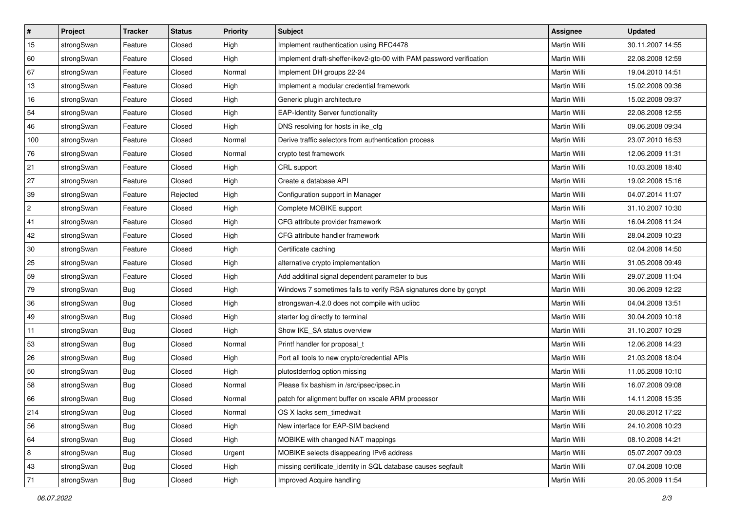| ∦   | Project    | <b>Tracker</b> | <b>Status</b> | <b>Priority</b> | <b>Subject</b>                                                      | Assignee            | <b>Updated</b>   |
|-----|------------|----------------|---------------|-----------------|---------------------------------------------------------------------|---------------------|------------------|
| 15  | strongSwan | Feature        | Closed        | High            | Implement rauthentication using RFC4478                             | Martin Willi        | 30.11.2007 14:55 |
| 60  | strongSwan | Feature        | Closed        | High            | Implement draft-sheffer-ikev2-gtc-00 with PAM password verification | Martin Willi        | 22.08.2008 12:59 |
| 67  | strongSwan | Feature        | Closed        | Normal          | Implement DH groups 22-24                                           | Martin Willi        | 19.04.2010 14:51 |
| 13  | strongSwan | Feature        | Closed        | High            | Implement a modular credential framework                            | Martin Willi        | 15.02.2008 09:36 |
| 16  | strongSwan | Feature        | Closed        | High            | Generic plugin architecture                                         | <b>Martin Willi</b> | 15.02.2008 09:37 |
| 54  | strongSwan | Feature        | Closed        | High            | <b>EAP-Identity Server functionality</b>                            | Martin Willi        | 22.08.2008 12:55 |
| 46  | strongSwan | Feature        | Closed        | High            | DNS resolving for hosts in ike_cfg                                  | Martin Willi        | 09.06.2008 09:34 |
| 100 | strongSwan | Feature        | Closed        | Normal          | Derive traffic selectors from authentication process                | Martin Willi        | 23.07.2010 16:53 |
| 76  | strongSwan | Feature        | Closed        | Normal          | crypto test framework                                               | Martin Willi        | 12.06.2009 11:31 |
| 21  | strongSwan | Feature        | Closed        | High            | CRL support                                                         | <b>Martin Willi</b> | 10.03.2008 18:40 |
| 27  | strongSwan | Feature        | Closed        | High            | Create a database API                                               | Martin Willi        | 19.02.2008 15:16 |
| 39  | strongSwan | Feature        | Rejected      | High            | Configuration support in Manager                                    | <b>Martin Willi</b> | 04.07.2014 11:07 |
| 2   | strongSwan | Feature        | Closed        | High            | Complete MOBIKE support                                             | <b>Martin Willi</b> | 31.10.2007 10:30 |
| 41  | strongSwan | Feature        | Closed        | High            | CFG attribute provider framework                                    | Martin Willi        | 16.04.2008 11:24 |
| 42  | strongSwan | Feature        | Closed        | High            | CFG attribute handler framework                                     | Martin Willi        | 28.04.2009 10:23 |
| 30  | strongSwan | Feature        | Closed        | High            | Certificate caching                                                 | Martin Willi        | 02.04.2008 14:50 |
| 25  | strongSwan | Feature        | Closed        | High            | alternative crypto implementation                                   | <b>Martin Willi</b> | 31.05.2008 09:49 |
| 59  | strongSwan | Feature        | Closed        | High            | Add additinal signal dependent parameter to bus                     | Martin Willi        | 29.07.2008 11:04 |
| 79  | strongSwan | <b>Bug</b>     | Closed        | High            | Windows 7 sometimes fails to verify RSA signatures done by gcrypt   | Martin Willi        | 30.06.2009 12:22 |
| 36  | strongSwan | <b>Bug</b>     | Closed        | High            | strongswan-4.2.0 does not compile with uclibe                       | Martin Willi        | 04.04.2008 13:51 |
| 49  | strongSwan | Bug            | Closed        | High            | starter log directly to terminal                                    | Martin Willi        | 30.04.2009 10:18 |
| 11  | strongSwan | Bug            | Closed        | High            | Show IKE_SA status overview                                         | Martin Willi        | 31.10.2007 10:29 |
| 53  | strongSwan | Bug            | Closed        | Normal          | Printf handler for proposal_t                                       | <b>Martin Willi</b> | 12.06.2008 14:23 |
| 26  | strongSwan | <b>Bug</b>     | Closed        | High            | Port all tools to new crypto/credential APIs                        | Martin Willi        | 21.03.2008 18:04 |
| 50  | strongSwan | <b>Bug</b>     | Closed        | High            | plutostderrlog option missing                                       | Martin Willi        | 11.05.2008 10:10 |
| 58  | strongSwan | Bug            | Closed        | Normal          | Please fix bashism in /src/ipsec/ipsec.in                           | <b>Martin Willi</b> | 16.07.2008 09:08 |
| 66  | strongSwan | <b>Bug</b>     | Closed        | Normal          | patch for alignment buffer on xscale ARM processor                  | Martin Willi        | 14.11.2008 15:35 |
| 214 | strongSwan | Bug            | Closed        | Normal          | OS X lacks sem_timedwait                                            | Martin Willi        | 20.08.2012 17:22 |
| 56  | strongSwan | Bug            | Closed        | High            | New interface for EAP-SIM backend                                   | Martin Willi        | 24.10.2008 10:23 |
| 64  | strongSwan | Bug            | Closed        | High            | MOBIKE with changed NAT mappings                                    | Martin Willi        | 08.10.2008 14:21 |
| 8   | strongSwan | Bug            | Closed        | Urgent          | MOBIKE selects disappearing IPv6 address                            | Martin Willi        | 05.07.2007 09:03 |
| 43  | strongSwan | Bug            | Closed        | High            | missing certificate identity in SQL database causes segfault        | Martin Willi        | 07.04.2008 10:08 |
| 71  | strongSwan | <b>Bug</b>     | Closed        | High            | Improved Acquire handling                                           | Martin Willi        | 20.05.2009 11:54 |